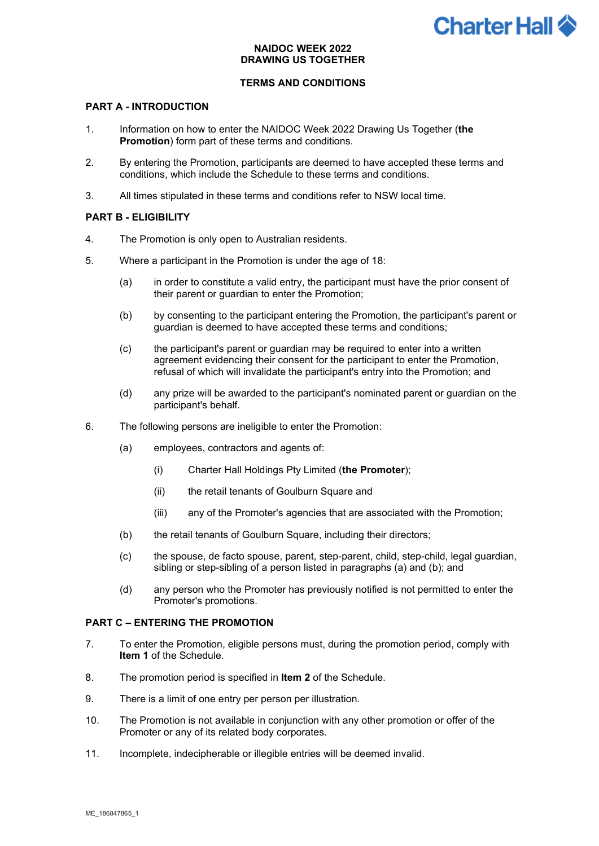# **Charter Hall <sup>2</sup>**

# **NAIDOC WEEK 2022 DRAWING US TOGETHER**

# **TERMS AND CONDITIONS**

# **PART A - INTRODUCTION**

- 1. Information on how to enter the NAIDOC Week 2022 Drawing Us Together (**the Promotion**) form part of these terms and conditions.
- 2. By entering the Promotion, participants are deemed to have accepted these terms and conditions, which include the Schedule to these terms and conditions.
- 3. All times stipulated in these terms and conditions refer to NSW local time.

### **PART B - ELIGIBILITY**

- 4. The Promotion is only open to Australian residents.
- 5. Where a participant in the Promotion is under the age of 18:
	- (a) in order to constitute a valid entry, the participant must have the prior consent of their parent or guardian to enter the Promotion;
	- (b) by consenting to the participant entering the Promotion, the participant's parent or guardian is deemed to have accepted these terms and conditions;
	- (c) the participant's parent or guardian may be required to enter into a written agreement evidencing their consent for the participant to enter the Promotion, refusal of which will invalidate the participant's entry into the Promotion; and
	- (d) any prize will be awarded to the participant's nominated parent or guardian on the participant's behalf.
- 6. The following persons are ineligible to enter the Promotion:
	- (a) employees, contractors and agents of:
		- (i) Charter Hall Holdings Pty Limited (**the Promoter**);
		- (ii) the retail tenants of Goulburn Square and
		- (iii) any of the Promoter's agencies that are associated with the Promotion;
	- (b) the retail tenants of Goulburn Square, including their directors;
	- (c) the spouse, de facto spouse, parent, step-parent, child, step-child, legal guardian, sibling or step-sibling of a person listed in paragraphs (a) and (b); and
	- (d) any person who the Promoter has previously notified is not permitted to enter the Promoter's promotions.

### **PART C – ENTERING THE PROMOTION**

- 7. To enter the Promotion, eligible persons must, during the promotion period, comply with **Item 1** of the Schedule.
- 8. The promotion period is specified in **Item 2** of the Schedule.
- 9. There is a limit of one entry per person per illustration.
- 10. The Promotion is not available in conjunction with any other promotion or offer of the Promoter or any of its related body corporates.
- 11. Incomplete, indecipherable or illegible entries will be deemed invalid.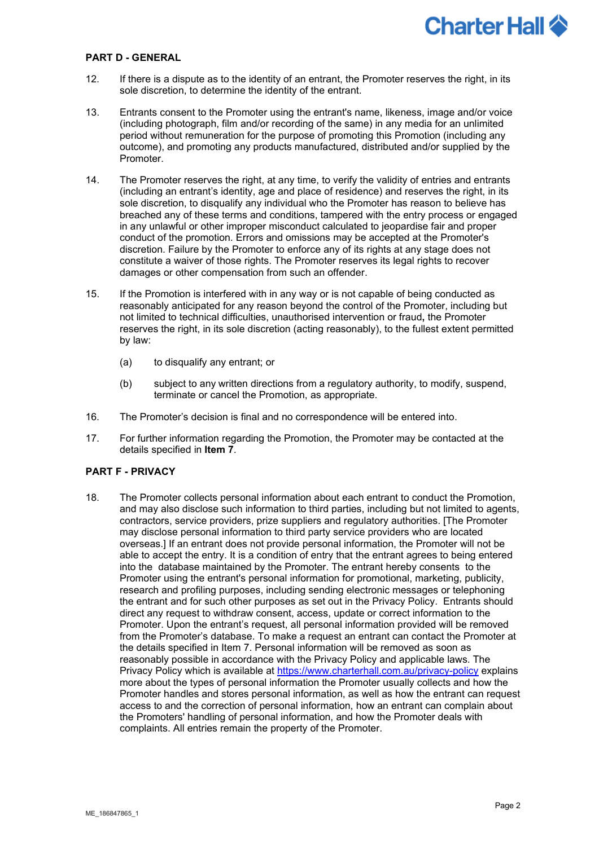

#### **PART D - GENERAL**

- 12. If there is a dispute as to the identity of an entrant, the Promoter reserves the right, in its sole discretion, to determine the identity of the entrant.
- 13. Entrants consent to the Promoter using the entrant's name, likeness, image and/or voice (including photograph, film and/or recording of the same) in any media for an unlimited period without remuneration for the purpose of promoting this Promotion (including any outcome), and promoting any products manufactured, distributed and/or supplied by the Promoter.
- 14. The Promoter reserves the right, at any time, to verify the validity of entries and entrants (including an entrant's identity, age and place of residence) and reserves the right, in its sole discretion, to disqualify any individual who the Promoter has reason to believe has breached any of these terms and conditions, tampered with the entry process or engaged in any unlawful or other improper misconduct calculated to jeopardise fair and proper conduct of the promotion. Errors and omissions may be accepted at the Promoter's discretion. Failure by the Promoter to enforce any of its rights at any stage does not constitute a waiver of those rights. The Promoter reserves its legal rights to recover damages or other compensation from such an offender.
- 15. If the Promotion is interfered with in any way or is not capable of being conducted as reasonably anticipated for any reason beyond the control of the Promoter, including but not limited to technical difficulties, unauthorised intervention or fraud**,** the Promoter reserves the right, in its sole discretion (acting reasonably), to the fullest extent permitted by law:
	- (a) to disqualify any entrant; or
	- (b) subject to any written directions from a regulatory authority, to modify, suspend, terminate or cancel the Promotion, as appropriate.
- 16. The Promoter's decision is final and no correspondence will be entered into.
- 17. For further information regarding the Promotion, the Promoter may be contacted at the details specified in **Item 7**.

### **PART F - PRIVACY**

18. The Promoter collects personal information about each entrant to conduct the Promotion, and may also disclose such information to third parties, including but not limited to agents, contractors, service providers, prize suppliers and regulatory authorities. [The Promoter may disclose personal information to third party service providers who are located overseas.] If an entrant does not provide personal information, the Promoter will not be able to accept the entry. It is a condition of entry that the entrant agrees to being entered into the database maintained by the Promoter. The entrant hereby consents to the Promoter using the entrant's personal information for promotional, marketing, publicity, research and profiling purposes, including sending electronic messages or telephoning the entrant and for such other purposes as set out in the Privacy Policy. Entrants should direct any request to withdraw consent, access, update or correct information to the Promoter. Upon the entrant's request, all personal information provided will be removed from the Promoter's database. To make a request an entrant can contact the Promoter at the details specified in Item 7. Personal information will be removed as soon as reasonably possible in accordance with the Privacy Policy and applicable laws. The Privacy Policy which is available at<https://www.charterhall.com.au/privacy-policy> explains more about the types of personal information the Promoter usually collects and how the Promoter handles and stores personal information, as well as how the entrant can request access to and the correction of personal information, how an entrant can complain about the Promoters' handling of personal information, and how the Promoter deals with complaints. All entries remain the property of the Promoter.